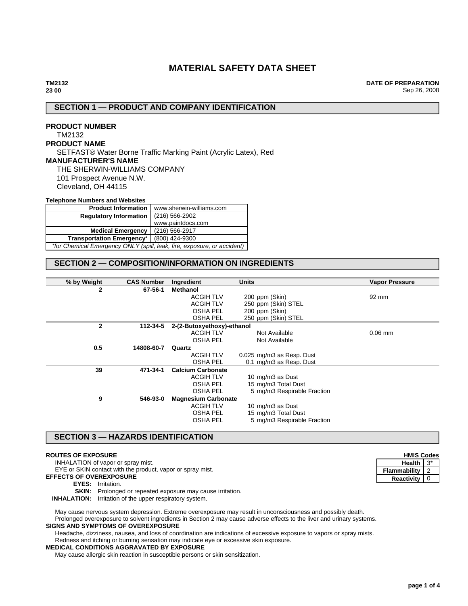# **MATERIAL SAFETY DATA SHEET**

**DATE OF PREPARATION** Sep 26, 2008

# **SECTION 1 — PRODUCT AND COMPANY IDENTIFICATION**

# **PRODUCT NUMBER** TM2132 **PRODUCT NAME** SETFAST® Water Borne Traffic Marking Paint (Acrylic Latex), Red **MANUFACTURER'S NAME** THE SHERWIN-WILLIAMS COMPANY 101 Prospect Avenue N.W. Cleveland, OH 44115

### **Telephone Numbers and Websites**

| <b>Product Information</b>                                              | www.sherwin-williams.com |  |
|-------------------------------------------------------------------------|--------------------------|--|
| <b>Regulatory Information</b>                                           | $(216)$ 566-2902         |  |
|                                                                         | www.paintdocs.com        |  |
| <b>Medical Emergency</b>                                                | (216) 566-2917           |  |
| (800) 424-9300<br><b>Transportation Emergency*</b>                      |                          |  |
| *for Chemical Emergency ONLY (spill, leak, fire, exposure, or accident) |                          |  |

# **SECTION 2 — COMPOSITION/INFORMATION ON INGREDIENTS**

| % by Weight<br><b>CAS Number</b> | Ingredient                 | <b>Units</b>                | <b>Vapor Pressure</b> |
|----------------------------------|----------------------------|-----------------------------|-----------------------|
|                                  |                            |                             |                       |
| $\overline{2}$<br>67-56-1        | <b>Methanol</b>            |                             |                       |
|                                  | <b>ACGIH TLV</b>           | 200 ppm (Skin)              | 92 mm                 |
|                                  | <b>ACGIH TLV</b>           | 250 ppm (Skin) STEL         |                       |
|                                  | <b>OSHA PEL</b>            | 200 ppm (Skin)              |                       |
|                                  | <b>OSHA PEL</b>            | 250 ppm (Skin) STEL         |                       |
| $\mathbf{2}$<br>112-34-5         | 2-(2-Butoxyethoxy)-ethanol |                             |                       |
|                                  | <b>ACGIH TLV</b>           | Not Available               | $0.06$ mm             |
|                                  | <b>OSHA PEL</b>            | Not Available               |                       |
| 0.5<br>14808-60-7                | Quartz                     |                             |                       |
|                                  | <b>ACGIH TLV</b>           | 0.025 mg/m3 as Resp. Dust   |                       |
|                                  | <b>OSHA PEL</b>            | 0.1 mg/m3 as Resp. Dust     |                       |
| 39<br>471-34-1                   | <b>Calcium Carbonate</b>   |                             |                       |
|                                  | <b>ACGIH TLV</b>           | 10 mg/m3 as Dust            |                       |
|                                  | <b>OSHA PEL</b>            | 15 mg/m3 Total Dust         |                       |
|                                  | <b>OSHA PEL</b>            | 5 mg/m3 Respirable Fraction |                       |
| 9<br>546-93-0                    | <b>Magnesium Carbonate</b> |                             |                       |
|                                  | <b>ACGIH TLV</b>           | 10 mg/m3 as Dust            |                       |
|                                  | <b>OSHA PEL</b>            | 15 mg/m3 Total Dust         |                       |
|                                  | <b>OSHA PEL</b>            | 5 mg/m3 Respirable Fraction |                       |

# **SECTION 3 — HAZARDS IDENTIFICATION**

### **ROUTES OF EXPOSURE**

INHALATION of vapor or spray mist.

EYE or SKIN contact with the product, vapor or spray mist.

- **EFFECTS OF OVEREXPOSURE**
	- **EYES:** Irritation.
	- **SKIN:** Prolonged or repeated exposure may cause irritation.

**INHALATION:** Irritation of the upper respiratory system.

May cause nervous system depression. Extreme overexposure may result in unconsciousness and possibly death. Prolonged overexposure to solvent ingredients in Section 2 may cause adverse effects to the liver and urinary systems.

### **SIGNS AND SYMPTOMS OF OVEREXPOSURE**

Headache, dizziness, nausea, and loss of coordination are indications of excessive exposure to vapors or spray mists.

Redness and itching or burning sensation may indicate eye or excessive skin exposure.

### **MEDICAL CONDITIONS AGGRAVATED BY EXPOSURE**

May cause allergic skin reaction in susceptible persons or skin sensitization.

| <b>HMIS Codes</b> |   |  |
|-------------------|---|--|
| Health            |   |  |
| Flammability      |   |  |
| <b>Reactivity</b> | 0 |  |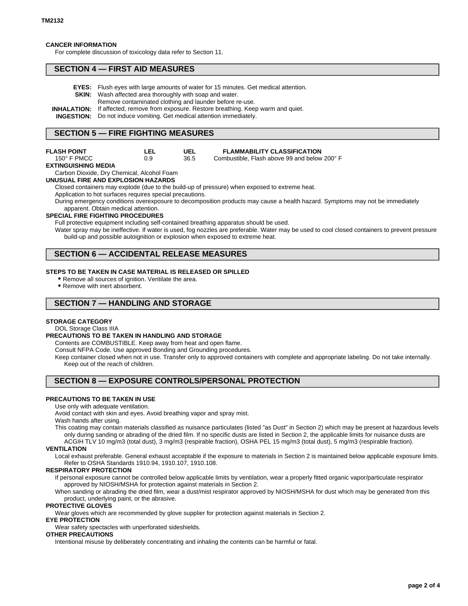### **CANCER INFORMATION**

For complete discussion of toxicology data refer to Section 11.

### **SECTION 4 — FIRST AID MEASURES**

| <b>EYES:</b> Flush eyes with large amounts of water for 15 minutes. Get medical attention.    |
|-----------------------------------------------------------------------------------------------|
| <b>SKIN:</b> Wash affected area thoroughly with soap and water.                               |
| Remove contaminated clothing and launder before re-use.                                       |
| <b>INHALATION:</b> If affected, remove from exposure. Restore breathing. Keep warm and quiet. |
| <b>INGESTION:</b> Do not induce vomiting. Get medical attention immediately.                  |
|                                                                                               |

# **SECTION 5 — FIRE FIGHTING MEASURES**

**LEL**

# **FLASH POINT**

| $150^\circ$ F PMCC  | 0.9 |
|---------------------|-----|
| EXTINGUISHING MEDIA |     |

Carbon Dioxide, Dry Chemical, Alcohol Foam

#### **UNUSUAL FIRE AND EXPLOSION HAZARDS**

Closed containers may explode (due to the build-up of pressure) when exposed to extreme heat. Application to hot surfaces requires special precautions.

**UEL** 36.5

During emergency conditions overexposure to decomposition products may cause a health hazard. Symptoms may not be immediately apparent. Obtain medical attention.

### **SPECIAL FIRE FIGHTING PROCEDURES**

Full protective equipment including self-contained breathing apparatus should be used.

Water spray may be ineffective. If water is used, fog nozzles are preferable. Water may be used to cool closed containers to prevent pressure build-up and possible autoignition or explosion when exposed to extreme heat.

**FLAMMABILITY CLASSIFICATION** Combustible, Flash above 99 and below 200° F

# **SECTION 6 — ACCIDENTAL RELEASE MEASURES**

### **STEPS TO BE TAKEN IN CASE MATERIAL IS RELEASED OR SPILLED**

- Remove all sources of ignition. Ventilate the area.
- Remove with inert absorbent.

# **SECTION 7 — HANDLING AND STORAGE**

### **STORAGE CATEGORY**

DOL Storage Class IIIA

### **PRECAUTIONS TO BE TAKEN IN HANDLING AND STORAGE**

Contents are COMBUSTIBLE. Keep away from heat and open flame.

Consult NFPA Code. Use approved Bonding and Grounding procedures.

Keep container closed when not in use. Transfer only to approved containers with complete and appropriate labeling. Do not take internally. Keep out of the reach of children.

# **SECTION 8 — EXPOSURE CONTROLS/PERSONAL PROTECTION**

### **PRECAUTIONS TO BE TAKEN IN USE**

Use only with adequate ventilation.

Avoid contact with skin and eyes. Avoid breathing vapor and spray mist.

### Wash hands after using.

This coating may contain materials classified as nuisance particulates (listed "as Dust" in Section 2) which may be present at hazardous levels only during sanding or abrading of the dried film. If no specific dusts are listed in Section 2, the applicable limits for nuisance dusts are ACGIH TLV 10 mg/m3 (total dust), 3 mg/m3 (respirable fraction), OSHA PEL 15 mg/m3 (total dust), 5 mg/m3 (respirable fraction).

#### **VENTILATION**

Local exhaust preferable. General exhaust acceptable if the exposure to materials in Section 2 is maintained below applicable exposure limits. Refer to OSHA Standards 1910.94, 1910.107, 1910.108.

#### **RESPIRATORY PROTECTION**

If personal exposure cannot be controlled below applicable limits by ventilation, wear a properly fitted organic vapor/particulate respirator approved by NIOSH/MSHA for protection against materials in Section 2.

When sanding or abrading the dried film, wear a dust/mist respirator approved by NIOSH/MSHA for dust which may be generated from this product, underlying paint, or the abrasive.

### **PROTECTIVE GLOVES**

Wear gloves which are recommended by glove supplier for protection against materials in Section 2.

# **EYE PROTECTION**

Wear safety spectacles with unperforated sideshields.

# **OTHER PRECAUTIONS**

Intentional misuse by deliberately concentrating and inhaling the contents can be harmful or fatal.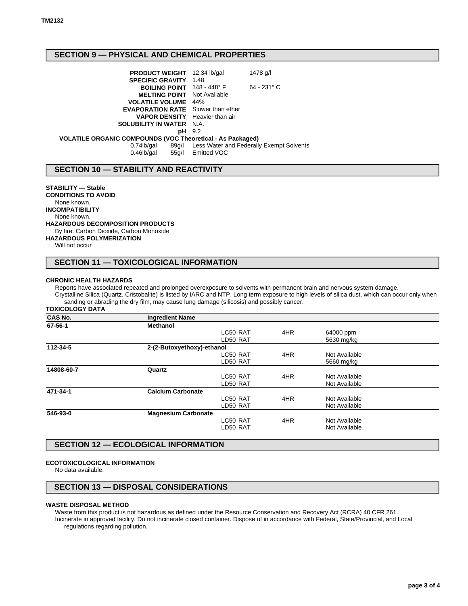# **SECTION 9 — PHYSICAL AND CHEMICAL PROPERTIES**

| <b>PRODUCT WEIGHT</b> 12.34 lb/gal                         |               | 1478 g/l                                       |
|------------------------------------------------------------|---------------|------------------------------------------------|
| <b>SPECIFIC GRAVITY 1.48</b>                               |               |                                                |
| <b>BOILING POINT</b> 148 - 448° F                          |               | $64 - 231$ °C                                  |
| <b>MELTING POINT</b> Not Available                         |               |                                                |
| <b>VOLATILE VOLUME</b> 44%                                 |               |                                                |
| <b>EVAPORATION RATE</b> Slower than ether                  |               |                                                |
| <b>VAPOR DENSITY</b> Heavier than air                      |               |                                                |
| <b>SOLUBILITY IN WATER N.A.</b>                            |               |                                                |
|                                                            | <b>pH</b> 9.2 |                                                |
| VOLATILE ORGANIC COMPOUNDS (VOC Theoretical - As Packaged) |               |                                                |
| 0.74lb/gal                                                 |               | 89q/l Less Water and Federally Exempt Solvents |
| $0.46$ lb/gal<br>55a/l                                     | Emitted VOC   |                                                |

# **SECTION 10 — STABILITY AND REACTIVITY**

**STABILITY — Stable CONDITIONS TO AVOID** None known. **INCOMPATIBILITY** None known. **HAZARDOUS DECOMPOSITION PRODUCTS** By fire: Carbon Dioxide, Carbon Monoxide **HAZARDOUS POLYMERIZATION** Will not occur

# **SECTION 11 — TOXICOLOGICAL INFORMATION**

#### **CHRONIC HEALTH HAZARDS**

Reports have associated repeated and prolonged overexposure to solvents with permanent brain and nervous system damage. Crystalline Silica (Quartz, Cristobalite) is listed by IARC and NTP. Long term exposure to high levels of silica dust, which can occur only when sanding or abrading the dry film, may cause lung damage (silicosis) and possibly cancer.

#### **TOXICOLOGY DATA**

| <b>CAS No.</b> | <b>Ingredient Name</b>     |          |     |               |  |
|----------------|----------------------------|----------|-----|---------------|--|
| 67-56-1        | <b>Methanol</b>            |          |     |               |  |
|                |                            | LC50 RAT | 4HR | 64000 ppm     |  |
|                |                            | LD50 RAT |     | 5630 mg/kg    |  |
| 112-34-5       | 2-(2-Butoxyethoxy)-ethanol |          |     |               |  |
|                |                            | LC50 RAT | 4HR | Not Available |  |
|                |                            | LD50 RAT |     | 5660 mg/kg    |  |
| 14808-60-7     | Quartz                     |          |     |               |  |
|                |                            | LC50 RAT | 4HR | Not Available |  |
|                |                            | LD50 RAT |     | Not Available |  |
| 471-34-1       | <b>Calcium Carbonate</b>   |          |     |               |  |
|                |                            | LC50 RAT | 4HR | Not Available |  |
|                |                            | LD50 RAT |     | Not Available |  |
| 546-93-0       | <b>Magnesium Carbonate</b> |          |     |               |  |
|                |                            | LC50 RAT | 4HR | Not Available |  |
|                |                            | LD50 RAT |     | Not Available |  |
|                |                            |          |     |               |  |

# **SECTION 12 — ECOLOGICAL INFORMATION**

### **ECOTOXICOLOGICAL INFORMATION**

No data available.

### **SECTION 13 — DISPOSAL CONSIDERATIONS**

#### **WASTE DISPOSAL METHOD**

Waste from this product is not hazardous as defined under the Resource Conservation and Recovery Act (RCRA) 40 CFR 261. Incinerate in approved facility. Do not incinerate closed container. Dispose of in accordance with Federal, State/Provincial, and Local regulations regarding pollution.